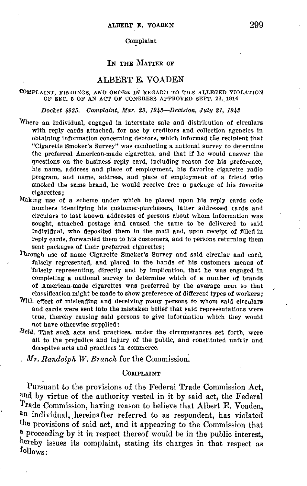## Complaint

# IN THE MATIER OF

# ALBERT E. VOADEN

## COMPLAINT, FINDINGS, AND ORDER IN REGARD TO TIIE ALLEGED VIOLATION OF SEC. 5 OF AN ACT OF CONGRESS APPROVED SEPT. 26, 1914

## Docket 4935. Complaint, Mar. 29, 1943-Decision, July 21, 1943

- Where an individual, engaged in interstate sale and distribution of circulars with reply cards attached, for use by creditors and collection agencies in obtaining information concerning debtors, which informed the recipient that "Cigarette Smoker's Survey" was conducting a national survey to determine the preferred American-made cigarettes, and that if he would answer the questions on the business reply card, including reason for his preference, his name, address and place of employment, his favorite cigarette radio program, and name, address, and place of employment of a friend who smoked the same brand, he would receive free a package of his favorite cigarettes ;
- Making use of a scheme under which he placed upon his reply cards code numbers identifying his customer-purchasers, latter addressed cards and circulars to last known addresses **of** persons about whom information was sought, attached postage and caused the same to be delivered to said individual, who deposited them in the mail and, upon receipt of filled-in reply cards, forwarded them to his customers, and to persons returning them sent packages of their preferred cigarettes;
- Through use of name Cigarette Smoker's Survey and said circular and card, falsely represented, and placed in the hands of his customers means of 'falsely representing, directly and by implication, that he was engaged in completing a national survey to determine which of a number of brands of American-made cigarettes was preferred by the average man so that classification might be made to show preference of different types of workers;
- With effect of misleading and deceiving many persons to whom said circulars and cards were sent into the mistaken belief that said representations were true, thereby causing said persons to give information which they would not have otherwise supplled:
- *lield,* That such acts and practices, under the circumstances set forth, were all to the prejudice and Injury of the public, and constituted unfair and deceptive acts and practices In commerce.

*Mr. Randolph W. Branch* for the Commission.

## Complaint

Pursuant to the provisions of the Federal Trade Commission Act, and by virtue of the authority vested in it by said act, the Federal Trade Commission, having reason to believe that Albert E. Voaden, an individual, hereinafter referred to as respondent, has violated the provisions of said act, and it appearing to the Commission that <sup>a</sup> proceeding by it in respect thereof would be in the public interest, hereby issues its complaint, stating its charges in that respect as follows: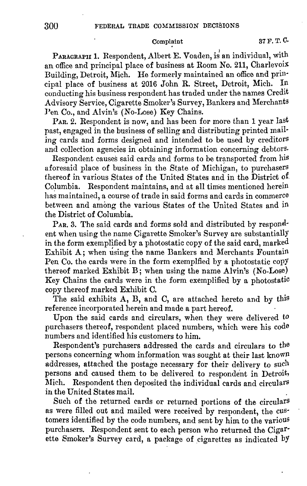# Complaint 37 F. T. C.

PARAGRAPH 1. Respondent, Albert E. Voaden, is an individual, with an office and principal place of business at Room No. 211, Charlevois Building, Detroit, Mich. He formerly maintained an office and prin·

cipal place of business at 2016 John R. Street, Detroit, Mich. conducting his business respondent has traded under the names Credit Advisory Service, Cigarette Smoker's Survey, Bankers and Merchants Pen Co., and Alvin's (No-Lose) Key Chains.

PAR. 2. Respondent is now, and has been for more than 1 year last past, engaged in the business of selling and distributing printed mailing cards and forms designed and intended to be used by creditors and collection agencies in obtaining information concerning debtors.

Respondent causes said cards and forms to be transported from his aforesaid place of business in the State of Michigan, to purchasers thereof in various States of the United States and in the District of CoJumbia. Respondent maintains, and at all times mentioned herein has maintained, a course of trade in said forms and cards in commerce between and among the various States of the United States and in the District of Columbia.

P<sub>AR</sub>. 3. The said cards and forms sold and distributed by respondent when using the name Cigarette Smoker's Survey are substantially in the form exemplified by a photostatic copy of the said card, marked Exhibit A; when using the name Bankers and Merchants Fountain Pen Co. the cards were in the form exemplfied by a photostatic copY thereof marked Exhibit B; when using the name Alvin's (No-Lose) Key Chains the cards were in the form exemplified by a photostatic copy thereof marked Exhibit C.

The said exhibits **A, B,** and C, are attached hereto and by this reference incorporated herein and made a part hereof.

Upon the said cards and circulars, when they were delivered to purchasers thereof, respondent placed numbers, which were his code numbers and identified his customers to him.

Respondent's purchasers addressed the cards and circulars to the persons concerning whom information was sought at their last known addresses, attached the postage necessary for their delivery to such persons and caused them to be delivered to respondent in Detroit, Mich. Respondent then deposited the individual cards and circulars in the United States mail.

Such of the returned cards or returned portions of the circulars as were filled out and mailed were received by respondent, the customers identified by the code numbers, and sent by him to the various purchasers. Respondent sent to each person who returned the Cigar· ette Smoker's Survey card, a package of cigarettes as indicated by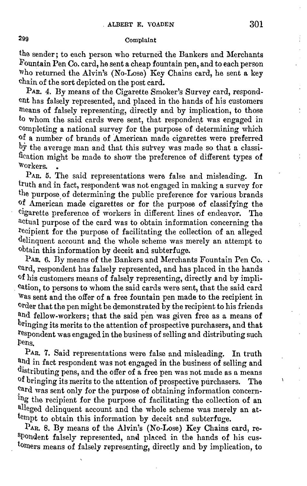# 299 Complaint

the sender; to each person who returned the Bankers and Merchants Fountain Pen Co. card, he sent a cheap fountain pen, and to each person Who returned the Alvin's (No-Lose) Key Chains card, he sent a key chain of the sort depicted on the post card.

PAR. 4. By means of the Cigarette Smoker's Survey card, respondent has falsely represented, and placed in the hands of his customers means of falsely representing, directly and by implication, to those to whom the said cards were sent, that respondent was engaged in completing a national survey for the purpose of determining which of a number of brands of American made cigarettes were preferred by the average man and that this survey was made so that a classification might be made to show the preference of different types of Workers. •

PAR. 5. The said representations were false and misleading. In truth and in fact, respondent was not engaged in making a survey for the purpose of determining the public preference for various brands of American made cigarettes or for the purpose of classifying the cigarette preference of workers in different lines of endeavor. The actual purpose of the card was to obtain information concerning the recipient for the purpose of facilitating the collection of an alleged delinquent account and the whole scheme was merely an attempt to obtain this information by deceit and subterfuge.

PAR. 6. By means of the Bankers and Merchants Fountain Pen Co...  $card$ , respondent has falsely represented, and has placed in the hands of his customers means of falsely representing, directly and by impli- . cation, to persons to whom the said cards were sent, that the said card Was sent and the offer of a free fountain pen made to the recipient in <sup>0</sup>rder that the pen might be demonstrated by the recipient to his friends and fellow-workers; that the said pen was given free as a means of bringing its merits to the attention of prospective purchasers, and that respondent was engaged in the business of selling and distributing such Pens.

PAR. 7. Said representations were false and misleading. In truth and in fact respondent was not engaged in the business of selling and distributing pens, and the offer of  $\overline{a}$  free pen was not made as a means of bringing its merits to the attention of prospective purchasers. The card was sent only for the purpose of obtaining information concerning the recipient for the purpose of facilitating the collection of an alleged delinquent account and the whole scheme was merely an attempt to obtain this information by deceit and subterfuge.

PAR. 8. By means of the Alvin's (No-Lose) Key Chains card, respondent falsely represented, aml placed in the hands of his customers means of falsely representing, directly and by implication, to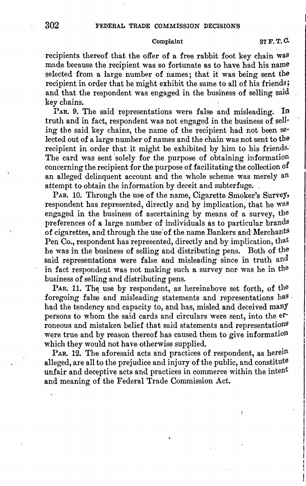# Complaint **87F.T,0.**

recipients thereof that the offer of a free rabbit foot key chain was made because the recipient was so fortunate as to have had his name selected from a large number of names; that it was being sent the recipient in order that he might exhibit the same to all of his friends; and that the respondent was engaged in the business of selling said key chains.

PAR. 9. The said representations were false and misleading. In truth and in fact, respondent was not engaged in the business of sell· ing the said key chains, the name of the recipient had not been se· lected out of a large number of names and the chain was not sent to the recipient in order that it might be exhibited by him to his friends. The card was sent 'solely for the purpose of obtaining information concerning the recipient for the purpose of facilitating the collection of an alleged delinquent account and the whole scheme was merely an attempt to obtain the information by deceit and subterfuge.

PAR. 10. Through the use of the name, Cigarette Smoker's Survey, respondent has represented, directly and by implication, that he was engaged in the business of ascertaining by means of a survey, the preferences of a large number of individuals as to particular brands of cigarettes, and through the use'of the name Bankers and Merchants Pen Co., respondent has represented, directly and by implication, that he was in the business of selling and distributing pens. Both of the said representations were false and misleading since in truth and in fact respondent was not making such a survey nor was he in the business of selling and distributing pens.

PAR. 11. The use by respondent, as hereinabove set forth, of the foregoing false and misleading statements and representations has had the tendency and capacity to, and has, misled and deceived manY persons to whom the said cards and circulars were sent, into the erroneous and mistaken belief that said statements and representations were true and by reason thereof has caused them to give information which they would not have otherwise supplied.

PAR. 12. The aforesaid acts and practices of respondent, as herein alleged, are all to the prejudice and injury of the public, and constitute unfair and deceptive acts and practices in commerce within the intent and meaning of the Federal Trade Commission Act.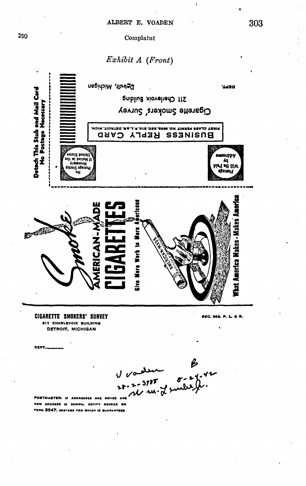# Complaint

# Exhibit A (Front)



œm ADDRESS IS KNOWN, NOTIFY SENDER ON .<br>FORM 3547, POSTAGE FOR WHICH IS GUARANTEED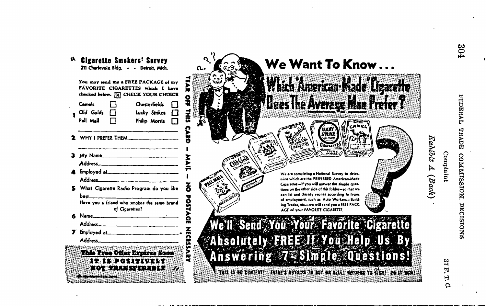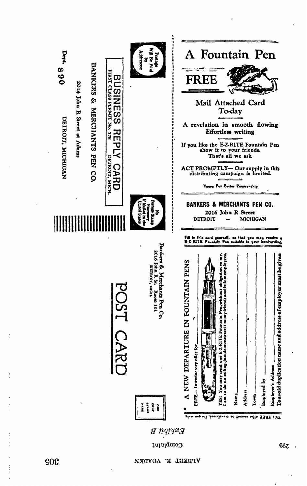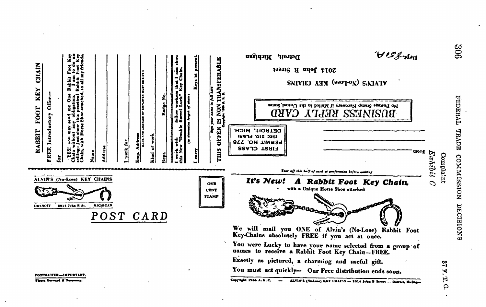| <b>NON TRANSFERABLE</b><br>www.kr<br>KEY CHAIN<br><b>The Second</b><br>OF ENPLOYER NURT<br>÷<br><b>Badge No</b><br><b>Offer</b><br>FOOT<br>Introductory<br>$\mathbf{S}$<br>ļş<br><b>OFFER</b><br>RABBIT<br>ě<br>북<br>의<br>ā,<br>Addres<br>FREE<br><b>THIS</b><br>york<br>i<br>S<br>Kind | $D^{cbr}$ . $\mathcal{S}^{c}$ , $\mathcal{A}$ ,<br>Detroit, Michigan<br>2014 John R Street<br>SNIVHO AHY (2007-ON) SAIATY<br>No Postage Stamp Necessary if Mailed in the United States<br>BUSINESS REFLY CARD<br>DETROIT, MICH.<br>(SEC 210' PL&R)<br>PERMIT NO. 778<br><b>FIRST CLASS</b><br>utora<br>Exhibit                                                                                                                                                                                                                                                                                                                             |
|-----------------------------------------------------------------------------------------------------------------------------------------------------------------------------------------------------------------------------------------------------------------------------------------|--------------------------------------------------------------------------------------------------------------------------------------------------------------------------------------------------------------------------------------------------------------------------------------------------------------------------------------------------------------------------------------------------------------------------------------------------------------------------------------------------------------------------------------------------------------------------------------------------------------------------------------------|
| ALVIN'S (No-Lose) KEY CHAINS<br>ONE<br><b>CENT</b><br><b>STAMP</b><br><b>MICHIGAN</b><br>2014 John R St.<br><b>DETROIT</b><br>POST CARD<br><b>POSTMASTER - INFORTANT</b><br>Please Forward if Necessary.                                                                                | Complaint<br>Tour off this half of card at perforation before mailing<br>It's New!<br>A Rabbit Foot Key Chain.<br>$\mathcal{O}$<br>with a Unique Horse Shoe attached<br>oas<br>We will mail you ONE of Alvin's (No-Lose) Rabbit Foot<br>Key-Chains absolutely FREE if you act at once.<br>You were Lucky to have your name selected from a group of<br>names to receive a Rabbit Foot Key Chain-FREE.<br>Exactly as pictured, a charming and useful gift.<br>ಇ<br>You must act quickly- Our Free distribution ends soon.<br>E,<br>H, Q<br>Copyright 1936 A.K.C.<br>ALVIN'S (No-Lose) KSY CHAINS -- 2014 John B Street -- Detroit, Michigan |

 $\ddot{\phantom{0}}$ 

÷.

l.

l.

 $\ddot{\phantom{a}}$ 

 $\,$  .

 $\cdot$ 

 $\ddot{\phantom{a}}$ 

FEDERAL TRADE COMMISSION DECISIONS ÷.

 $\star$ 

 $\ddot{\phantom{0}}$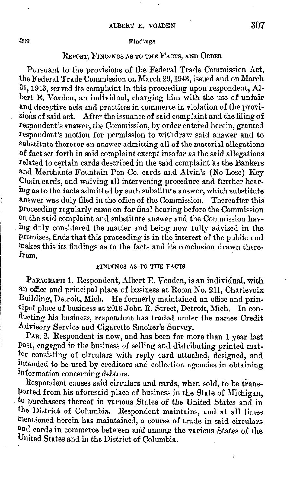## Findings

# REPORT, FINDINGS AS TO THE FACTS, AND ORDER

Pursuant to the provisions of the Federal Trade Commission Act, the Federal Trade Commission on March 29, 1943, issued and on March 31, 1943, served its complaint in this proceeding upon respondent, **Al**bert E. Voaden, an individual, charging him with the use of unfair and deceptive acts and practices in commerce in violation of the provisions of said act. After the issuance of said complaint and the filing of respondent's answer, the Commission, by order entered herein, granted respondent's motion for permission to withdraw said answer and to substitute therefor an answer admitting all of the material allegations of fact set forth in said complaint except insofar as the said allegations related to certain cards described in the said complaint as the Bankers and Merchants Fountain Pen Co. cards and Alvin's (No-Lose) Key Chain cards, and waiving all intervening procedure and further hearing as to the facts admitted by such substitute answer, which substitute answer was duly filed in the office of the Commission. Thereafter this Proceeding regularly came on for final hearing before the Commission on the said complaint and substitute answer and the Commission hav- . ing duly considered the matter and being now fully advised in the Premises, finds that this proceeding is in the interest of the public and makes this its findings as to the facts and its conclusion drawn there-<br>from.

## FINDINGS AS TO THE FACTS

PARAGRAPH 1. Respondent, Albert E. Voaden, is an individual, with an office and principal place of business at Room No. 211, Charlevoix Duilding, Detroit, Mich. **He** formerly maintained an office and principal place of business at 2016 John R. Street, Detroit, Mich. In conducting his business, respondent has traded under the names Credit .A.dvisory Service and Cigarette Smoker's Survey.

PAR. 2. Respondent is now, and has been for more than 1 year last Past, engaged in the business of selling and distributing printed mat ter consisting of circulars with reply card attached, designed, and intended to be used by creditors and collection agencies in obtaining lnformation concerning debtors.

Respondent causes said circulars and cards, when sold, to be trans-Ported from his aforesaid place of business in the State of Michigan, to purchasers thereof in various States of the United States and in the District of Columbia. Respondent maintains, and at all times mentioned herein has maintained, a course of trade in said circulars and cards in commerce between arid among the various States of the Dnited States and in the District of Columbia. .

j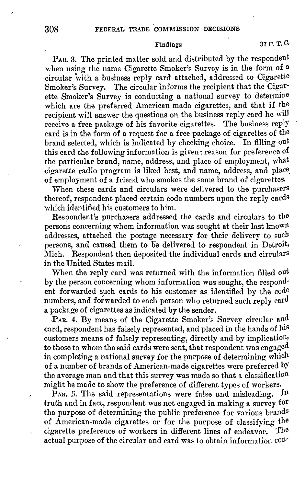P<sub>AR</sub>. 3. The printed matter sold, and distributed by the respondent when using the name Cigarette Smoker's Survey is in the form of a circular with a business reply card attached, addressed to Cigarette Smoker's Survey. The circular informs the recipient that the Cigarette Smoker's Survey is conducting a national survey to determine which are the preferred American-made cigarettes, and that if the recipient will answer the questions on the business reply card he will receive a free package of his favorite cigarettes. The business reply card is in the form of a request for a free package of cigarettes of the brand selected, which is indicated by checking choice. In filling out this card the following information is given: reason for preference of the particular brand, name, address, and place of employment, what cigarette radio program is liked best, and name, address, and place\_ of employment of a friend who smokes the same brand of cigarettes.

When these cards and circulars were delivered to the purchasers thereof, respondent placed certain code numbers upon the reply cards which identified his customers to him.

Respondent's purchasers addressed the cards and circulars to the persons concerning whom information was sought at their last known addresses, attached the postage necessary for their delivery to such persons, and caused them to be delivered to respondent in Detroit, Mich. Respondent then deposited the individual cards and circulars in the United States mail.

When the reply card was returned with the information filled out by the person concerning whom information was sought, the respondent forwarded such cards to his customer as identified by the code numbers, and forwarded to each person who returned such reply  $\text{card}$ a package of cigarettes as indicated by the sender.

PAR. 4. By means of the Cigarette Smoker's Survey circular and card, respondent has falsely represented, and placed in the hands of his customers means of falsely representing, directly and by implication, to those to whom the said cards were sent, that respondent was engaged in completing a national survey for the purpose of determining which of a number of brands of American-made cigarettes were preferred by the average man and that this survey was made so that a classification miglit be made to show the preference of different types of workers.

PAR. 5. The said representations were false and misleading. In truth and in fact, respondent was not engaged in making a survey for the purpose of determining the public preference for various brands of American-made cigarettes or for the purpose of classifying the cigarette preference of workers in different lines of endeavor. The cigarette preference of workers in different lines of endeavor. actual purpose of the circular and card was to obtain information con·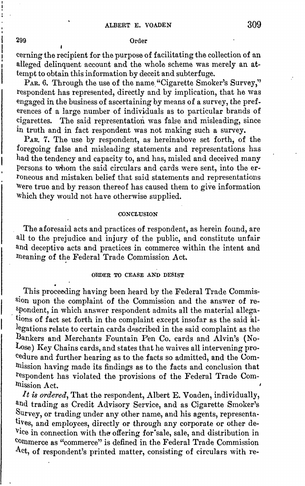# 299 Order

cerning the recipient for the purpose of facilitating the collection of an alleged delinquent account and the whole scheme was merely an **at**tempt to obtain this information by deceit and subterfuge.

PAR. 6. Through the use of the name "Cigarette Smoker's Survey," respondent has represented, directly and by implication, that he was engaged in the business of ascertaining by means of a survey, the preferences of a large number of individuals as to particular brands of  $cigaretes.$  The said representation was false and misleading, since in truth and in fact respondent was not making such a survey.

PAR. 7. The use by respondent, as hereinabove set forth, of the foregoing false and misleading statements and representations has had the tendency and capacity to, and has, misled and deceived many Persons to whom the said circulars and cards were sent, into the erroneous and mistaken belief that said statements and representations Were true and by reason thereof has caused them to give information Which they would not have otherwise supplied.

## **CONCLUSION**

The aforesaid acts and practices of respondent, as herein found, are all to the prejudice and injury of the public, and constitute unfair and deceptive acts and practices in commerce within the intent and meaning of the Federal Trade Commission Act.

# ORDER **TO** CEASE AND DESIST

This proceeding having been heard by the Federal Trade Commission upon the complaint of the Commission and the answer of respondent, in which answer respondent admits all the material allega tions of fact set forth in the complaint except insofar as the said allegations relate to certain cards described in the said complaint as the l3ankers and Merchants Fountain Pen Co. cards and Alvin's (No-Lose) Key Chains cards, and states that he waives all intervening procedure and further hearing as to the facts so admitted, and the Comlnission having made its findings as to the facts and conclusion that respondent has violated the provisions of the Federal Trade Comlnission Act.

*It is ordered,* That the respondent, Albert E. Voaden, individually, and trading as Credit Advisory Service, and as Cigarette Smoker's Survey, or trading under any other name, and his agents, representatives, and employees, directly or through any corporate or other de-Vice in connection with the offering for'sale, sale, and distribution in commerce as "commerce" is defined in the Federal Trade Commission Act, of respondent's printed matter, consisting of circulars with re-

 $\mathbf{I}$